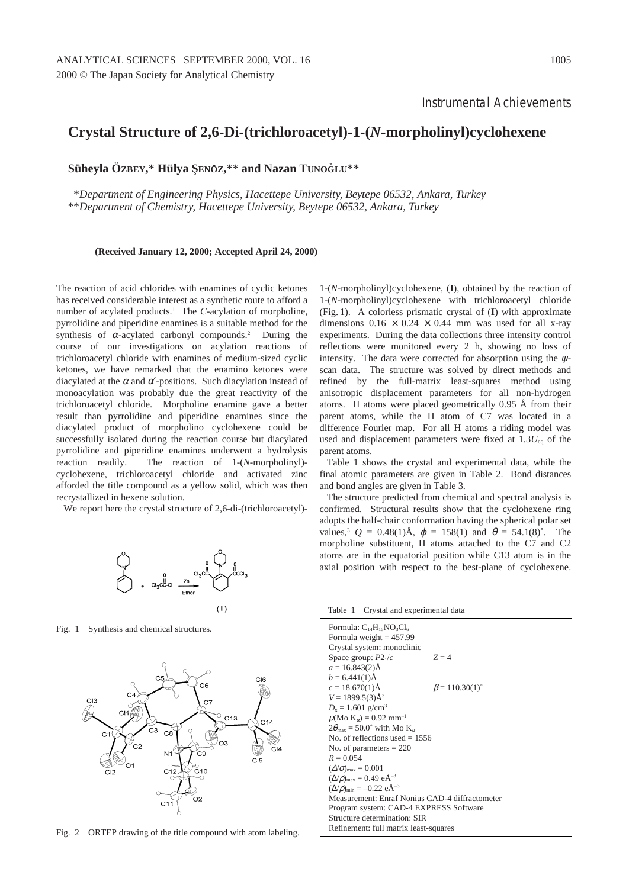## **Crystal Structure of 2,6-Di-(trichloroacetyl)-1-(***N***-morpholinyl)cyclohexene**

**Süheyla ÖZBEY,\* Hülya SENÖZ,\*\* and Nazan TUNOGLU\*\*** 

\**Department of Engineering Physics, Hacettepe University, Beytepe 06532, Ankara, Turkey* \*\**Department of Chemistry, Hacettepe University, Beytepe 06532, Ankara, Turkey*

**(Received January 12, 2000; Accepted April 24, 2000)**

The reaction of acid chlorides with enamines of cyclic ketones has received considerable interest as a synthetic route to afford a number of acylated products.<sup>1</sup> The *C*-acylation of morpholine, pyrrolidine and piperidine enamines is a suitable method for the synthesis of  $\alpha$ -acylated carbonyl compounds.<sup>2</sup> During the course of our investigations on acylation reactions of trichloroacetyl chloride with enamines of medium-sized cyclic ketones, we have remarked that the enamino ketones were diacylated at the  $\alpha$  and  $\alpha'$ -positions. Such diacylation instead of monoacylation was probably due the great reactivity of the trichloroacetyl chloride. Morpholine enamine gave a better result than pyrrolidine and piperidine enamines since the diacylated product of morpholino cyclohexene could be successfully isolated during the reaction course but diacylated pyrrolidine and piperidine enamines underwent a hydrolysis reaction readily. The reaction of 1-(*N*-morpholinyl) cyclohexene, trichloroacetyl chloride and activated zinc afforded the title compound as a yellow solid, which was then recrystallized in hexene solution.

We report here the crystal structure of 2,6-di-(trichloroacetyl)-



Fig. 1 Synthesis and chemical structures.



Fig. 2 ORTEP drawing of the title compound with atom labeling.

1-(*N*-morpholinyl)cyclohexene, (**I**), obtained by the reaction of 1-(*N*-morpholinyl)cyclohexene with trichloroacetyl chloride (Fig. 1). A colorless prismatic crystal of (**I**) with approximate dimensions  $0.16 \times 0.24 \times 0.44$  mm was used for all x-ray experiments. During the data collections three intensity control reflections were monitored every 2 h, showing no loss of intensity. The data were corrected for absorption using the  $\psi$ scan data. The structure was solved by direct methods and refined by the full-matrix least-squares method using anisotropic displacement parameters for all non-hydrogen atoms. H atoms were placed geometrically 0.95 Å from their parent atoms, while the H atom of C7 was located in a difference Fourier map. For all H atoms a riding model was used and displacement parameters were fixed at 1.3*U*eq of the parent atoms.

Table 1 shows the crystal and experimental data, while the final atomic parameters are given in Table 2. Bond distances and bond angles are given in Table 3.

The structure predicted from chemical and spectral analysis is confirmed. Structural results show that the cyclohexene ring adopts the half-chair conformation having the spherical polar set values,<sup>3</sup>  $Q = 0.48(1)$ Å,  $\varphi = 158(1)$  and  $\theta = 54.1(8)$ °. The morpholine substituent, H atoms attached to the C7 and C2 atoms are in the equatorial position while C13 atom is in the axial position with respect to the best-plane of cyclohexene.

Table 1 Crystal and experimental data

| Formula: $C_{14}H_{15}NO_3Cl_6$<br>Formula weight $= 457.99$            |                             |  |  |  |
|-------------------------------------------------------------------------|-----------------------------|--|--|--|
| Crystal system: monoclinic                                              |                             |  |  |  |
| Space group: $P2_1/c$                                                   | $Z = 4$                     |  |  |  |
| $a = 16.843(2)$ Å                                                       |                             |  |  |  |
| $b = 6.441(1)$ Å                                                        |                             |  |  |  |
| $c = 18.670(1)$ Å                                                       | $\beta = 110.30(1)^{\circ}$ |  |  |  |
| $V = 1899.5(3)\AA^{3}$                                                  |                             |  |  |  |
| $D_r = 1.601$ g/cm <sup>3</sup>                                         |                             |  |  |  |
| $\mu(Mo\ K_{\alpha}) = 0.92\ mm^{-1}$                                   |                             |  |  |  |
| $2\theta_{\text{max}}$ = 50.0° with Mo K <sub><math>\alpha</math></sub> |                             |  |  |  |
| No. of reflections used $= 1556$                                        |                             |  |  |  |
| No. of parameters $= 220$                                               |                             |  |  |  |
| $R = 0.054$                                                             |                             |  |  |  |
| $(\Delta/\sigma)_{\text{max}} = 0.001$                                  |                             |  |  |  |
| $(\Delta/\rho)_{\text{max}} = 0.49 \text{ eA}^{-3}$                     |                             |  |  |  |
| $(\Delta/\rho)_{\text{min}} = -0.22 \text{ eA}^{-3}$                    |                             |  |  |  |
| Measurement: Enraf Nonius CAD-4 diffractometer                          |                             |  |  |  |
| Program system: CAD-4 EXPRESS Software                                  |                             |  |  |  |
| Structure determination: SIR                                            |                             |  |  |  |
| Refinement: full matrix least-squares                                   |                             |  |  |  |